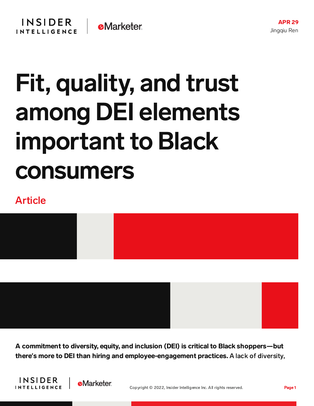## Fit, quality, and trust among DEI elements important to Black consumers

## Article



A commitment to diversity, equity, and inclusion (DEI) is critical to Black shoppers—but there**'**s more to DEI than hiring and employee-engagement practices. A lack of diversity,

**INSIDER INTELLIGENCE** 

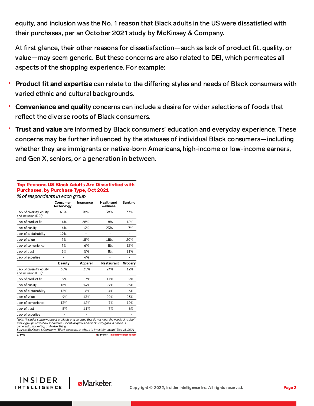equity, and inclusion was the No. 1 reason that Black adults in the US were dissatisfied with their purchases, per an October 2021 study by McKinsey & Company.

At first glance, their other reasons for dissatisfaction—such as lack of product fit, quality, or value—may seem generic. But these concerns are also related to DEI, which permeates all aspects of the shopping experience. For example:

- **Product fit and expertise** can relate to the differing styles and needs of Black consumers with varied ethnic and cultural backgrounds.
- Convenience and quality concerns can include a desire for wider selections of foods that reflect the diverse roots of Black consumers.
- Trust and value are informed by Black consumers' education and everyday experience. These concerns may be further influenced by the statuses of individual Black consumers—including whether they are immigrants or native-born Americans, high-income or low-income earners, and Gen X, seniors, or a generation in between.

## Top Reasons US Black Adults Are Dissatisfied with Purchases, by Purchase Type, Oct 2021 % of respondents in each aroup

|                                                    | Consumer<br>technology | Insurance | Health and<br>wellness | <b>Banking</b>           |
|----------------------------------------------------|------------------------|-----------|------------------------|--------------------------|
| Lack of diversity, equity,<br>and inclusion (DEI)* | 40%                    | 38%       | 38%                    | 37%                      |
| Lack of product fit                                | 14%                    | 28%       | 8%                     | 12%                      |
| Lack of quality                                    | 14%                    | 4%        | 23%                    | 7%                       |
| Lack of sustainability                             | 10%                    |           |                        | $\overline{\phantom{a}}$ |
| Lack of value                                      | 9%                     | 15%       | 15%                    | 20%                      |
| Lack of convenience                                | 9%                     | 6%        | 8%                     | 13%                      |
| Lack of trust                                      | 5%                     | 5%        | 8%                     | 11%                      |
| Lack of expertise                                  | $\overline{a}$         | 4%        | ۰                      | $\overline{\phantom{a}}$ |
|                                                    | Beauty                 | Apparel   | Restaurant             | Grocery                  |
| Lack of diversity, equity,<br>and inclusion (DEI)* | 36%                    | 35%       | 24%                    | 12%                      |
| Lack of product fit                                | 9%                     | 7%        | 11%                    | 9%                       |
| Lack of quality                                    | 16%                    | 14%       | 27%                    | 25%                      |
| Lack of sustainability                             | 13%                    | 8%        | 4%                     | 6%                       |
| Lack of value                                      | 9%                     | 13%       | 20%                    | 23%                      |
| Lack of convenience                                | 13%                    | 12%       | 7%                     | 19%                      |
| Lack of trust                                      | 5%                     | 11%       | 7%                     | 6%                       |
| Lack of expertise                                  |                        |           | -                      |                          |

Note: \*includes concerns about products and services that do not meet the needs of racial/ ethnic groups or that do not address social inequities and inclusivity gaps in business<br>ownership, marketing, and advertising

Source: McKinsey & Company, "Black consumers: Where to invest for equity," Dec 15, 2021 273408 eMarketer | InsiderIntellig